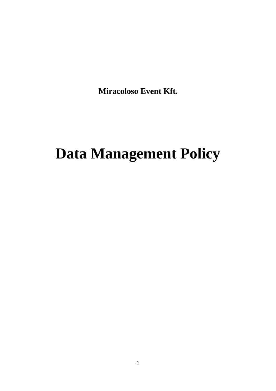**Miracoloso Event Kft.**

# **Data Management Policy**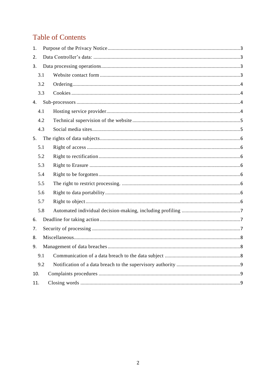# **Table of Contents**

| 1.                            |     |  |
|-------------------------------|-----|--|
| $\mathfrak{D}_{\mathfrak{p}}$ |     |  |
| 3.                            |     |  |
|                               | 3.1 |  |
|                               | 3.2 |  |
|                               | 3.3 |  |
| 4.                            |     |  |
|                               | 4.1 |  |
|                               | 4.2 |  |
|                               | 4.3 |  |
| 5.                            |     |  |
|                               | 5.1 |  |
|                               | 5.2 |  |
|                               | 5.3 |  |
|                               | 5.4 |  |
|                               | 5.5 |  |
|                               | 5.6 |  |
|                               | 5.7 |  |
|                               | 5.8 |  |
| 6.                            |     |  |
| 7.                            |     |  |
| 8.                            |     |  |
| 9.                            |     |  |
|                               | 9.1 |  |
|                               | 9.2 |  |
| 10.                           |     |  |
| 11.                           |     |  |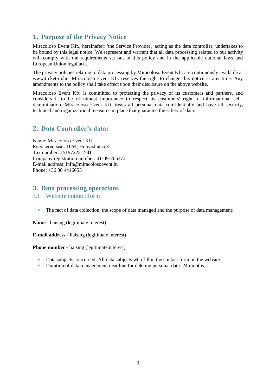# <span id="page-2-0"></span>**1. Purpose of the Privacy Notice**

Miracoloso Event Kft., hereinafter: 'the Service Provider', acting as the data controller, undertakes to be bound by this legal notice. We represent and warrant that all data processing related to our activity will comply with the requirements set out in this policy and in the applicable national laws and European Union legal acts.

The privacy policies relating to data processing by Miracoloso Event Kft. are continuously available at www.ticket-m.hu. Miracoloso Event Kft. reserves the right to change this notice at any time. Any amendments to the policy shall take effect upon their disclosure on the above website.

Miracoloso Event Kft. is committed to protecting the privacy of its customers and partners, and considers it to be of utmost importance to respect its customers' right of informational selfdetermination. Miracoloso Event Kft. treats all personal data confidentially and have all security, technical and organizational measures in place that guarantee the safety of data.

# <span id="page-2-1"></span>**2. Data Controller's data:**

Name: Miracoloso Event Kft. Registered seat: 1054, Honvéd utca 8. Tax number: 25197222-2-41 Company registration number: 01-09-205472 E-mail address: info@miracolosoevent.hu Phone: +36 30 4416655

# <span id="page-2-2"></span>**3. Data processing operations**

#### <span id="page-2-3"></span>3.1 Website contact form

The fact of data collection, the scope of data managed and the purpose of data management:

**Name -** liaising (legitimate interest)

**E-mail address -** liaising (legitimate interest)

**Phone number -** liaising (legitimate interest)

- Data subjects concerned: All data subjects who fill in the contact form on the website.
- Duration of data management, deadline for deleting personal data: 24 months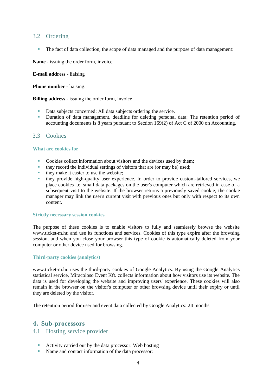#### <span id="page-3-0"></span>3.2 Ordering

The fact of data collection, the scope of data managed and the purpose of data management:

**Name** - issuing the order form, invoice

**E-mail address** - liaising

**Phone number** - liaising.

**Billing address** - issuing the order form, invoice

- Data subjects concerned: All data subjects ordering the service.
- Duration of data management, deadline for deleting personal data: The retention period of accounting documents is 8 years pursuant to Section 169(2) of Act C of 2000 on Accounting.

#### <span id="page-3-1"></span>3.3 Cookies

#### **What are cookies for**

- Cookies collect information about visitors and the devices used by them;
- they record the individual settings of visitors that are (or may be) used;
- they make it easier to use the website;
- they provide high-quality user experience. In order to provide custom-tailored services, we place cookies i.e. small data packages on the user's computer which are retrieved in case of a subsequent visit to the website. If the browser returns a previously saved cookie, the cookie manager may link the user's current visit with previous ones but only with respect to its own content.

#### **Strictly necessary session cookies**

The purpose of these cookies is to enable visitors to fully and seamlessly browse the website www.ticket-m.hu and use its functions and services. Cookies of this type expire after the browsing session, and when you close your browser this type of cookie is automatically deleted from your computer or other device used for browsing.

#### **Third-party cookies (analytics)**

www.ticket-m.hu uses the third-party cookies of Google Analytics. By using the Google Analytics statistical service, Miracoloso Event Kft. collects information about how visitors use its website. The data is used for developing the website and improving users' experience. These cookies will also remain in the browser on the visitor's computer or other browsing device until their expiry or until they are deleted by the visitor.

The retention period for user and event data collected by Google Analytics: 24 months

#### <span id="page-3-2"></span>**4. Sub-processors**

#### <span id="page-3-3"></span>4.1 Hosting service provider

- Activity carried out by the data processor: Web hosting
- Name and contact information of the data processor: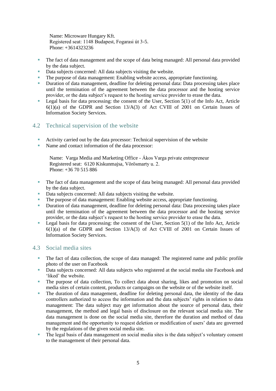Name: Microware Hungary Kft. Registered seat: 1148 Budapest, Fogarasi út 3-5. Phone: +3614323236

- The fact of data management and the scope of data being managed: All personal data provided by the data subject.
- Data subjects concerned: All data subjects visiting the website.
- The purpose of data management: Enabling website access, appropriate functioning.
- Duration of data management, deadline for deleting personal data: Data processing takes place until the termination of the agreement between the data processor and the hosting service provider, or the data subject's request to the hosting service provider to erase the data.
- Legal basis for data processing: the consent of the User, Section  $5(1)$  of the Info Act, Article  $6(1)(a)$  of the GDPR and Section 13/A(3) of Act CVIII of 2001 on Certain Issues of Information Society Services.

# <span id="page-4-0"></span>4.2 Technical supervision of the website

- Activity carried out by the data processor: Technical supervision of the website
- Name and contact information of the data processor:

Name: Varga Media and Marketing Office - Ákos Varga private entrepreneur Registered seat: 6120 Kiskunmajsa, Vörösmarty u. 2. Phone: +36 70 515 886

- The fact of data management and the scope of data being managed: All personal data provided by the data subject.
- Data subjects concerned: All data subjects visiting the website.
- The purpose of data management: Enabling website access, appropriate functioning.
- Duration of data management, deadline for deleting personal data: Data processing takes place until the termination of the agreement between the data processor and the hosting service provider, or the data subject's request to the hosting service provider to erase the data.
- Legal basis for data processing: the consent of the User, Section  $5(1)$  of the Info Act, Article  $6(1)(a)$  of the GDPR and Section  $13/A(3)$  of Act CVIII of 2001 on Certain Issues of Information Society Services.

#### <span id="page-4-1"></span>4.3 Social media sites

- The fact of data collection, the scope of data managed: The registered name and public profile photo of the user on Facebook
- Data subjects concerned: All data subjects who registered at the social media site Facebook and 'liked' the website.
- The purpose of data collection, To collect data about sharing, likes and promotion on social media sites of certain content, products or campaigns on the website or of the website itself.
- The duration of data management, deadline for deleting personal data, the identity of the data controllers authorized to access the information and the data subjects' rights in relation to data management: The data subject may get information about the source of personal data, their management, the method and legal basis of disclosure on the relevant social media site. The data management is done on the social media site, therefore the duration and method of data management and the opportunity to request deletion or modification of users' data are governed by the regulations of the given social media site.
- The legal basis of data management on social media sites is the data subject's voluntary consent to the management of their personal data.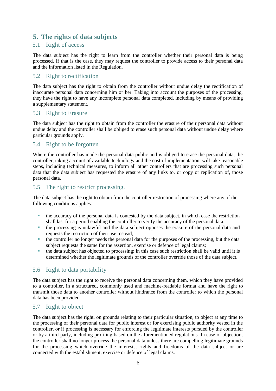# <span id="page-5-0"></span>**5. The rights of data subjects**

### <span id="page-5-1"></span>5.1 Right of access

The data subject has the right to learn from the controller whether their personal data is being processed. If that is the case, they may request the controller to provide access to their personal data and the information listed in the Regulation.

#### <span id="page-5-2"></span>5.2 Right to rectification

The data subject has the right to obtain from the controller without undue delay the rectification of inaccurate personal data concerning him or her. Taking into account the purposes of the processing, they have the right to have any incomplete personal data completed, including by means of providing a supplementary statement.

#### <span id="page-5-3"></span>5.3 Right to Erasure

The data subject has the right to obtain from the controller the erasure of their personal data without undue delay and the controller shall be obliged to erase such personal data without undue delay where particular grounds apply.

#### <span id="page-5-4"></span>5.4 Right to be forgotten

Where the controller has made the personal data public and is obliged to erase the personal data, the controller, taking account of available technology and the cost of implementation, will take reasonable steps, including technical measures, to inform all other controllers that are processing such personal data that the data subject has requested the erasure of any links to, or copy or replication of, those personal data.

#### <span id="page-5-5"></span>5.5 The right to restrict processing.

The data subject has the right to obtain from the controller restriction of processing where any of the following conditions applies:

- the accuracy of the personal data is contested by the data subject, in which case the restriction shall last for a period enabling the controller to verify the accuracy of the personal data;
- the processing is unlawful and the data subject opposes the erasure of the personal data and requests the restriction of their use instead;
- the controller no longer needs the personal data for the purposes of the processing, but the data subject requests the same for the assertion, exercise or defence of legal claims;
- the data subject has objected to processing; in this case such restriction shall be valid until it is determined whether the legitimate grounds of the controller override those of the data subject.

# <span id="page-5-6"></span>5.6 Right to data portability

The data subject has the right to receive the personal data concerning them, which they have provided to a controller, in a structured, commonly used and machine-readable format and have the right to transmit those data to another controller without hindrance from the controller to which the personal data has been provided.

# <span id="page-5-7"></span>5.7 Right to object

The data subject has the right, on grounds relating to their particular situation, to object at any time to the processing of their personal data for public interest or for exercising public authority vested in the controller, or if processing is necessary for enforcing the legitimate interests pursued by the controller or by a third party, including profiling based on the aforementioned regulations. In case of objection, the controller shall no longer process the personal data unless there are compelling legitimate grounds for the processing which override the interests, rights and freedoms of the data subject or are connected with the establishment, exercise or defence of legal claims.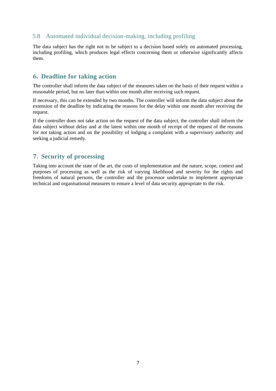# <span id="page-6-0"></span>5.8 Automated individual decision-making, including profiling

The data subject has the right not to be subject to a decision based solely on automated processing, including profiling, which produces legal effects concerning them or otherwise significantly affects them.

# <span id="page-6-1"></span>**6. Deadline for taking action**

The controller shall inform the data subject of the measures taken on the basis of their request within a reasonable period, but no later than within one month after receiving such request.

If necessary, this can be extended by two months. The controller will inform the data subject about the extension of the deadline by indicating the reasons for the delay within one month after receiving the request.

If the controller does not take action on the request of the data subject, the controller shall inform the data subject without delay and at the latest within one month of receipt of the request of the reasons for not taking action and on the possibility of lodging a complaint with a supervisory authority and seeking a judicial remedy.

# <span id="page-6-2"></span>**7. Security of processing**

Taking into account the state of the art, the costs of implementation and the nature, scope, context and purposes of processing as well as the risk of varying likelihood and severity for the rights and freedoms of natural persons, the controller and the processor undertake to implement appropriate technical and organisational measures to ensure a level of data security appropriate to the risk.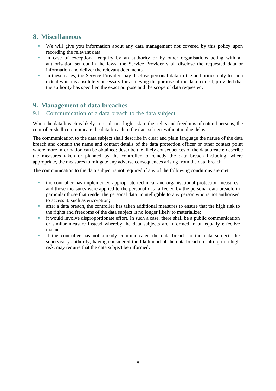# <span id="page-7-0"></span>**8. Miscellaneous**

- We will give you information about any data management not covered by this policy upon recording the relevant data.
- In case of exceptional enquiry by an authority or by other organisations acting with an authorisation set out in the laws, the Service Provider shall disclose the requested data or information and deliver the relevant documents.
- In these cases, the Service Provider may disclose personal data to the authorities only to such extent which is absolutely necessary for achieving the purpose of the data request, provided that the authority has specified the exact purpose and the scope of data requested.

# <span id="page-7-1"></span>**9. Management of data breaches**

#### <span id="page-7-2"></span>9.1 Communication of a data breach to the data subject

When the data breach is likely to result in a high risk to the rights and freedoms of natural persons, the controller shall communicate the data breach to the data subject without undue delay.

The communication to the data subject shall describe in clear and plain language the nature of the data breach and contain the name and contact details of the data protection officer or other contact point where more information can be obtained; describe the likely consequences of the data breach; describe the measures taken or planned by the controller to remedy the data breach including, where appropriate, the measures to mitigate any adverse consequences arising from the data breach.

The communication to the data subject is not required if any of the following conditions are met:

- the controller has implemented appropriate technical and organisational protection measures, and those measures were applied to the personal data affected by the personal data breach, in particular those that render the personal data unintelligible to any person who is not authorised to access it, such as encryption;
- after a data breach, the controller has taken additional measures to ensure that the high risk to the rights and freedoms of the data subject is no longer likely to materialize;
- it would involve disproportionate effort. In such a case, there shall be a public communication or similar measure instead whereby the data subjects are informed in an equally effective manner.
- If the controller has not already communicated the data breach to the data subject, the supervisory authority, having considered the likelihood of the data breach resulting in a high risk, may require that the data subject be informed.